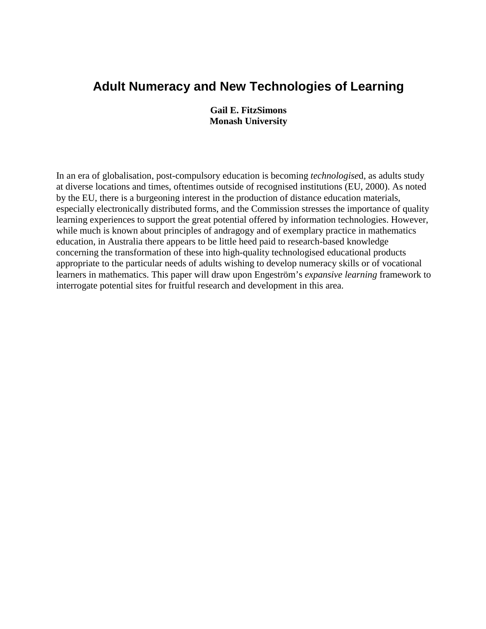# **Adult Numeracy and New Technologies of Learning**

**Gail E. FitzSimons Monash University** 

In an era of globalisation, post-compulsory education is becoming *technologise*d, as adults study at diverse locations and times, oftentimes outside of recognised institutions (EU, 2000). As noted by the EU, there is a burgeoning interest in the production of distance education materials, especially electronically distributed forms, and the Commission stresses the importance of quality learning experiences to support the great potential offered by information technologies. However, while much is known about principles of andragogy and of exemplary practice in mathematics education, in Australia there appears to be little heed paid to research-based knowledge concerning the transformation of these into high-quality technologised educational products appropriate to the particular needs of adults wishing to develop numeracy skills or of vocational learners in mathematics. This paper will draw upon Engeström's *expansive learning* framework to interrogate potential sites for fruitful research and development in this area.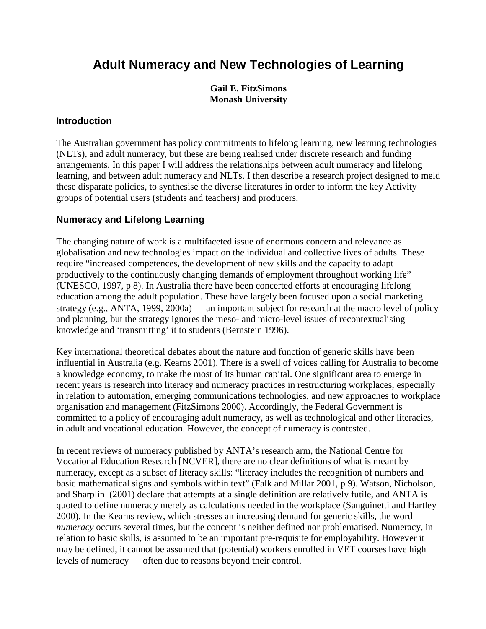# **Adult Numeracy and New Technologies of Learning**

**Gail E. FitzSimons Monash University** 

#### **Introduction**

The Australian government has policy commitments to lifelong learning, new learning technologies (NLTs), and adult numeracy, but these are being realised under discrete research and funding arrangements. In this paper I will address the relationships between adult numeracy and lifelong learning, and between adult numeracy and NLTs. I then describe a research project designed to meld these disparate policies, to synthesise the diverse literatures in order to inform the key Activity groups of potential users (students and teachers) and producers.

## **Numeracy and Lifelong Learning**

The changing nature of work is a multifaceted issue of enormous concern and relevance as globalisation and new technologies impact on the individual and collective lives of adults. These require "increased competences, the development of new skills and the capacity to adapt productively to the continuously changing demands of employment throughout working life" (UNESCO, 1997, p 8). In Australia there have been concerted efforts at encouraging lifelong education among the adult population. These have largely been focused upon a social marketing strategy (e.g., ANTA, 1999, 2000a) — an important subject for research at the macro level of policy and planning, but the strategy ignores the meso- and micro-level issues of recontextualising knowledge and 'transmitting' it to students (Bernstein 1996).

Key international theoretical debates about the nature and function of generic skills have been influential in Australia (e.g. Kearns 2001). There is a swell of voices calling for Australia to become a knowledge economy, to make the most of its human capital. One significant area to emerge in recent years is research into literacy and numeracy practices in restructuring workplaces, especially in relation to automation, emerging communications technologies, and new approaches to workplace organisation and management (FitzSimons 2000). Accordingly, the Federal Government is committed to a policy of encouraging adult numeracy, as well as technological and other literacies, in adult and vocational education. However, the concept of numeracy is contested.

In recent reviews of numeracy published by ANTA's research arm, the National Centre for Vocational Education Research [NCVER], there are no clear definitions of what is meant by numeracy, except as a subset of literacy skills: "literacy includes the recognition of numbers and basic mathematical signs and symbols within text" (Falk and Millar 2001, p 9). Watson, Nicholson, and Sharplin (2001) declare that attempts at a single definition are relatively futile, and ANTA is quoted to define numeracy merely as calculations needed in the workplace (Sanguinetti and Hartley 2000). In the Kearns review, which stresses an increasing demand for generic skills, the word *numeracy* occurs several times, but the concept is neither defined nor problematised. Numeracy, in relation to basic skills, is assumed to be an important pre-requisite for employability. However it may be defined, it cannot be assumed that (potential) workers enrolled in VET courses have high levels of numeracy — often due to reasons beyond their control.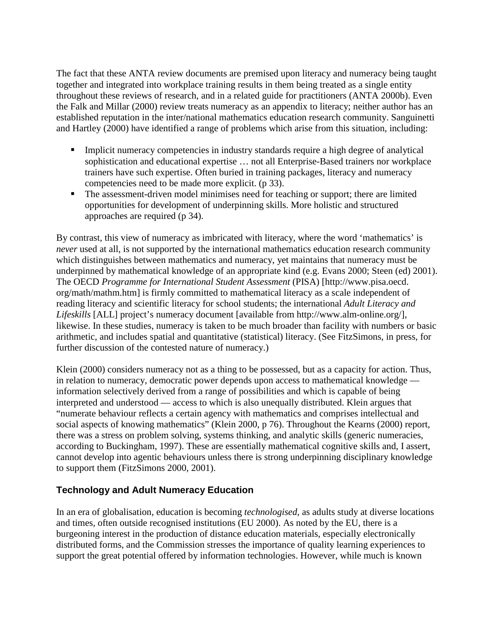The fact that these ANTA review documents are premised upon literacy and numeracy being taught together and integrated into workplace training results in them being treated as a single entity throughout these reviews of research, and in a related guide for practitioners (ANTA 2000b). Even the Falk and Millar (2000) review treats numeracy as an appendix to literacy; neither author has an established reputation in the inter/national mathematics education research community. Sanguinetti and Hartley (2000) have identified a range of problems which arise from this situation, including:

- Implicit numeracy competencies in industry standards require a high degree of analytical sophistication and educational expertise … not all Enterprise-Based trainers nor workplace trainers have such expertise. Often buried in training packages, literacy and numeracy competencies need to be made more explicit. (p 33).
- The assessment-driven model minimises need for teaching or support; there are limited opportunities for development of underpinning skills. More holistic and structured approaches are required (p 34).

By contrast, this view of numeracy as imbricated with literacy, where the word 'mathematics' is *never* used at all, is not supported by the international mathematics education research community which distinguishes between mathematics and numeracy, yet maintains that numeracy must be underpinned by mathematical knowledge of an appropriate kind (e.g. Evans 2000; Steen (ed) 2001). The OECD *Programme for International Student Assessment* (PISA) [http://www.pisa.oecd. org/math/mathm.htm] is firmly committed to mathematical literacy as a scale independent of reading literacy and scientific literacy for school students; the international *Adult Literacy and Lifeskills* [ALL] project's numeracy document [available from http://www.alm-online.org/], likewise. In these studies, numeracy is taken to be much broader than facility with numbers or basic arithmetic, and includes spatial and quantitative (statistical) literacy. (See FitzSimons, in press, for further discussion of the contested nature of numeracy.)

Klein (2000) considers numeracy not as a thing to be possessed, but as a capacity for action. Thus, in relation to numeracy, democratic power depends upon access to mathematical knowledge information selectively derived from a range of possibilities and which is capable of being interpreted and understood — access to which is also unequally distributed. Klein argues that "numerate behaviour reflects a certain agency with mathematics and comprises intellectual and social aspects of knowing mathematics" (Klein 2000, p 76). Throughout the Kearns (2000) report, there was a stress on problem solving, systems thinking, and analytic skills (generic numeracies, according to Buckingham, 1997). These are essentially mathematical cognitive skills and, I assert, cannot develop into agentic behaviours unless there is strong underpinning disciplinary knowledge to support them (FitzSimons 2000, 2001).

## **Technology and Adult Numeracy Education**

In an era of globalisation, education is becoming *technologised*, as adults study at diverse locations and times, often outside recognised institutions (EU 2000). As noted by the EU, there is a burgeoning interest in the production of distance education materials, especially electronically distributed forms, and the Commission stresses the importance of quality learning experiences to support the great potential offered by information technologies. However, while much is known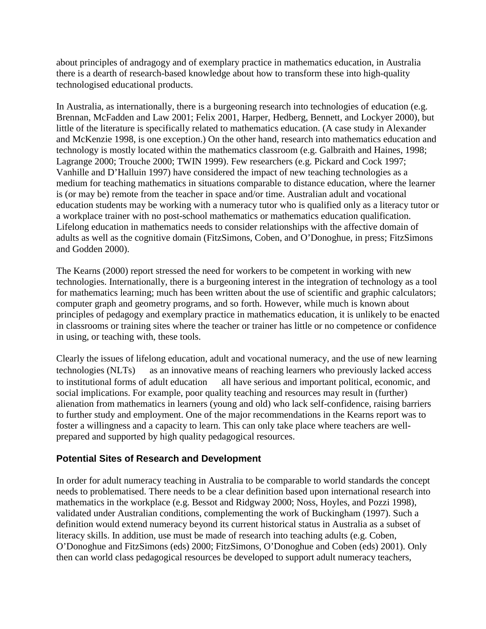about principles of andragogy and of exemplary practice in mathematics education, in Australia there is a dearth of research-based knowledge about how to transform these into high-quality technologised educational products.

In Australia, as internationally, there is a burgeoning research into technologies of education (e.g. Brennan, McFadden and Law 2001; Felix 2001, Harper, Hedberg, Bennett, and Lockyer 2000), but little of the literature is specifically related to mathematics education. (A case study in Alexander and McKenzie 1998, is one exception.) On the other hand, research into mathematics education and technology is mostly located within the mathematics classroom (e.g. Galbraith and Haines, 1998; Lagrange 2000; Trouche 2000; TWIN 1999). Few researchers (e.g. Pickard and Cock 1997; Vanhille and D'Halluin 1997) have considered the impact of new teaching technologies as a medium for teaching mathematics in situations comparable to distance education, where the learner is (or may be) remote from the teacher in space and/or time. Australian adult and vocational education students may be working with a numeracy tutor who is qualified only as a literacy tutor or a workplace trainer with no post-school mathematics or mathematics education qualification. Lifelong education in mathematics needs to consider relationships with the affective domain of adults as well as the cognitive domain (FitzSimons, Coben, and O'Donoghue, in press; FitzSimons and Godden 2000).

The Kearns (2000) report stressed the need for workers to be competent in working with new technologies. Internationally, there is a burgeoning interest in the integration of technology as a tool for mathematics learning; much has been written about the use of scientific and graphic calculators; computer graph and geometry programs, and so forth. However, while much is known about principles of pedagogy and exemplary practice in mathematics education, it is unlikely to be enacted in classrooms or training sites where the teacher or trainer has little or no competence or confidence in using, or teaching with, these tools.

Clearly the issues of lifelong education, adult and vocational numeracy, and the use of new learning technologies (NLTs) — as an innovative means of reaching learners who previously lacked access to institutional forms of adult education — all have serious and important political, economic, and social implications. For example, poor quality teaching and resources may result in (further) alienation from mathematics in learners (young and old) who lack self-confidence, raising barriers to further study and employment. One of the major recommendations in the Kearns report was to foster a willingness and a capacity to learn. This can only take place where teachers are wellprepared and supported by high quality pedagogical resources.

## **Potential Sites of Research and Development**

In order for adult numeracy teaching in Australia to be comparable to world standards the concept needs to problematised. There needs to be a clear definition based upon international research into mathematics in the workplace (e.g. Bessot and Ridgway 2000; Noss, Hoyles, and Pozzi 1998), validated under Australian conditions, complementing the work of Buckingham (1997). Such a definition would extend numeracy beyond its current historical status in Australia as a subset of literacy skills. In addition, use must be made of research into teaching adults (e.g. Coben, O'Donoghue and FitzSimons (eds) 2000; FitzSimons, O'Donoghue and Coben (eds) 2001). Only then can world class pedagogical resources be developed to support adult numeracy teachers,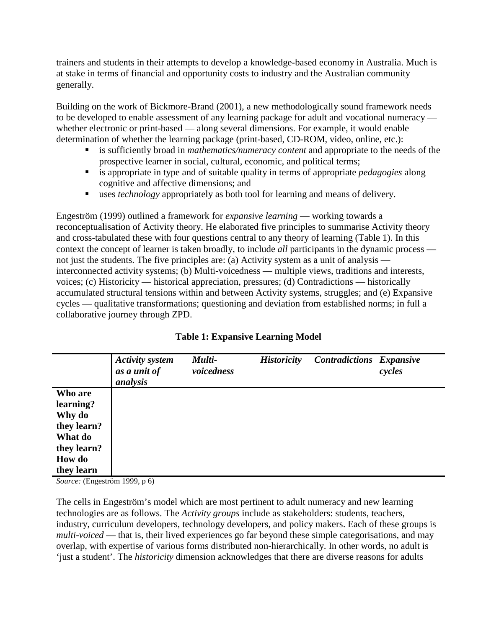trainers and students in their attempts to develop a knowledge-based economy in Australia. Much is at stake in terms of financial and opportunity costs to industry and the Australian community generally.

Building on the work of Bickmore-Brand (2001), a new methodologically sound framework needs to be developed to enable assessment of any learning package for adult and vocational numeracy whether electronic or print-based — along several dimensions. For example, it would enable determination of whether the learning package (print-based, CD-ROM, video, online, etc.):

- is sufficiently broad in *mathematics/numeracy content* and appropriate to the needs of the prospective learner in social, cultural, economic, and political terms;
- is appropriate in type and of suitable quality in terms of appropriate *pedagogies* along cognitive and affective dimensions; and
- uses *technology* appropriately as both tool for learning and means of delivery.

Engeström (1999) outlined a framework for *expansive learning* — working towards a reconceptualisation of Activity theory. He elaborated five principles to summarise Activity theory and cross-tabulated these with four questions central to any theory of learning (Table 1). In this context the concept of learner is taken broadly, to include *all* participants in the dynamic process not just the students. The five principles are: (a) Activity system as a unit of analysis interconnected activity systems; (b) Multi-voicedness — multiple views, traditions and interests, voices; (c) Historicity — historical appreciation, pressures; (d) Contradictions — historically accumulated structural tensions within and between Activity systems, struggles; and (e) Expansive cycles — qualitative transformations; questioning and deviation from established norms; in full a collaborative journey through ZPD.

|               | <b>Activity system</b><br>as a unit of<br>analysis | Multi-<br>voicedness | <b>Historicity</b> | <b>Contradictions Expansive</b> | cycles |
|---------------|----------------------------------------------------|----------------------|--------------------|---------------------------------|--------|
| Who are       |                                                    |                      |                    |                                 |        |
| learning?     |                                                    |                      |                    |                                 |        |
| Why do        |                                                    |                      |                    |                                 |        |
| they learn?   |                                                    |                      |                    |                                 |        |
| What do       |                                                    |                      |                    |                                 |        |
| they learn?   |                                                    |                      |                    |                                 |        |
| <b>How do</b> |                                                    |                      |                    |                                 |        |
| they learn    |                                                    |                      |                    |                                 |        |

## **Table 1: Expansive Learning Model**

*Source:* (Engeström 1999, p 6)

The cells in Engeström's model which are most pertinent to adult numeracy and new learning technologies are as follows. The *Activity groups* include as stakeholders: students, teachers, industry, curriculum developers, technology developers, and policy makers. Each of these groups is *multi-voiced* — that is, their lived experiences go far beyond these simple categorisations, and may overlap, with expertise of various forms distributed non-hierarchically. In other words, no adult is 'just a student'. The *historicity* dimension acknowledges that there are diverse reasons for adults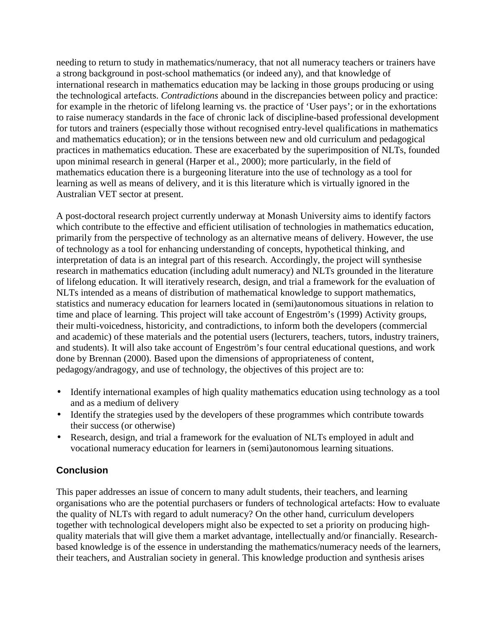needing to return to study in mathematics/numeracy, that not all numeracy teachers or trainers have a strong background in post-school mathematics (or indeed any), and that knowledge of international research in mathematics education may be lacking in those groups producing or using the technological artefacts. *Contradictions* abound in the discrepancies between policy and practice: for example in the rhetoric of lifelong learning vs. the practice of 'User pays'; or in the exhortations to raise numeracy standards in the face of chronic lack of discipline-based professional development for tutors and trainers (especially those without recognised entry-level qualifications in mathematics and mathematics education); or in the tensions between new and old curriculum and pedagogical practices in mathematics education. These are exacerbated by the superimposition of NLTs, founded upon minimal research in general (Harper et al., 2000); more particularly, in the field of mathematics education there is a burgeoning literature into the use of technology as a tool for learning as well as means of delivery, and it is this literature which is virtually ignored in the Australian VET sector at present.

A post-doctoral research project currently underway at Monash University aims to identify factors which contribute to the effective and efficient utilisation of technologies in mathematics education, primarily from the perspective of technology as an alternative means of delivery. However, the use of technology as a tool for enhancing understanding of concepts, hypothetical thinking, and interpretation of data is an integral part of this research. Accordingly, the project will synthesise research in mathematics education (including adult numeracy) and NLTs grounded in the literature of lifelong education. It will iteratively research, design, and trial a framework for the evaluation of NLTs intended as a means of distribution of mathematical knowledge to support mathematics, statistics and numeracy education for learners located in (semi)autonomous situations in relation to time and place of learning. This project will take account of Engeström's (1999) Activity groups, their multi-voicedness, historicity, and contradictions, to inform both the developers (commercial and academic) of these materials and the potential users (lecturers, teachers, tutors, industry trainers, and students). It will also take account of Engeström's four central educational questions, and work done by Brennan (2000). Based upon the dimensions of appropriateness of content, pedagogy/andragogy, and use of technology, the objectives of this project are to:

- Identify international examples of high quality mathematics education using technology as a tool and as a medium of delivery
- Identify the strategies used by the developers of these programmes which contribute towards their success (or otherwise)
- Research, design, and trial a framework for the evaluation of NLTs employed in adult and vocational numeracy education for learners in (semi)autonomous learning situations.

## **Conclusion**

This paper addresses an issue of concern to many adult students, their teachers, and learning organisations who are the potential purchasers or funders of technological artefacts: How to evaluate the quality of NLTs with regard to adult numeracy? On the other hand, curriculum developers together with technological developers might also be expected to set a priority on producing highquality materials that will give them a market advantage, intellectually and/or financially. Researchbased knowledge is of the essence in understanding the mathematics/numeracy needs of the learners, their teachers, and Australian society in general. This knowledge production and synthesis arises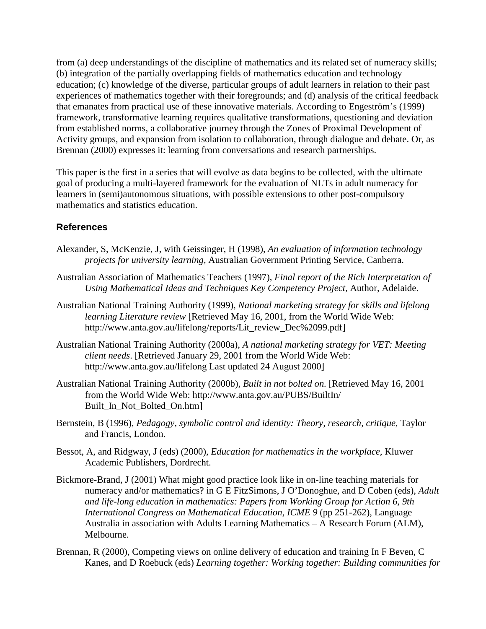from (a) deep understandings of the discipline of mathematics and its related set of numeracy skills; (b) integration of the partially overlapping fields of mathematics education and technology education; (c) knowledge of the diverse, particular groups of adult learners in relation to their past experiences of mathematics together with their foregrounds; and (d) analysis of the critical feedback that emanates from practical use of these innovative materials. According to Engeström's (1999) framework, transformative learning requires qualitative transformations, questioning and deviation from established norms, a collaborative journey through the Zones of Proximal Development of Activity groups, and expansion from isolation to collaboration, through dialogue and debate. Or, as Brennan (2000) expresses it: learning from conversations and research partnerships.

This paper is the first in a series that will evolve as data begins to be collected, with the ultimate goal of producing a multi-layered framework for the evaluation of NLTs in adult numeracy for learners in (semi)autonomous situations, with possible extensions to other post-compulsory mathematics and statistics education.

#### **References**

- Alexander, S, McKenzie, J, with Geissinger, H (1998), *An evaluation of information technology projects for university learning,* Australian Government Printing Service, Canberra.
- Australian Association of Mathematics Teachers (1997), *Final report of the Rich Interpretation of Using Mathematical Ideas and Techniques Key Competency Project,* Author, Adelaide.
- Australian National Training Authority (1999), *National marketing strategy for skills and lifelong learning Literature review* [Retrieved May 16, 2001, from the World Wide Web: http://www.anta.gov.au/lifelong/reports/Lit\_review\_Dec%2099.pdf]
- Australian National Training Authority (2000a), *A national marketing strategy for VET: Meeting client needs*. [Retrieved January 29, 2001 from the World Wide Web: http://www.anta.gov.au/lifelong Last updated 24 August 2000]
- Australian National Training Authority (2000b), *Built in not bolted on.* [Retrieved May 16, 2001 from the World Wide Web: http://www.anta.gov.au/PUBS/BuiltIn/ Built\_In\_Not\_Bolted\_On.htm]
- Bernstein, B (1996), *Pedagogy, symbolic control and identity: Theory, research, critique,* Taylor and Francis, London.
- Bessot, A, and Ridgway, J (eds) (2000), *Education for mathematics in the workplace,* Kluwer Academic Publishers, Dordrecht.
- Bickmore-Brand, J (2001) What might good practice look like in on-line teaching materials for numeracy and/or mathematics? in G E FitzSimons, J O'Donoghue, and D Coben (eds), *Adult and life-long education in mathematics: Papers from Working Group for Action 6, 9th International Congress on Mathematical Education, ICME 9* (pp 251-262), Language Australia in association with Adults Learning Mathematics – A Research Forum (ALM), Melbourne.
- Brennan, R (2000), Competing views on online delivery of education and training In F Beven, C Kanes, and D Roebuck (eds) *Learning together: Working together: Building communities for*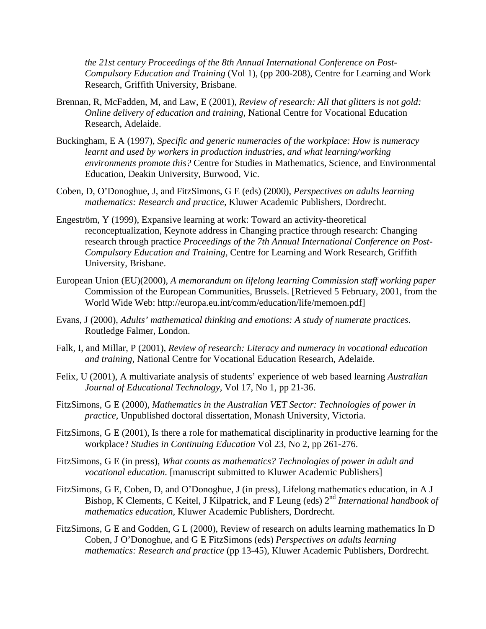*the 21st century Proceedings of the 8th Annual International Conference on Post-Compulsory Education and Training* (Vol 1), (pp 200-208), Centre for Learning and Work Research, Griffith University, Brisbane.

- Brennan, R, McFadden, M, and Law, E (2001), *Review of research: All that glitters is not gold: Online delivery of education and training,* National Centre for Vocational Education Research, Adelaide.
- Buckingham, E A (1997), *Specific and generic numeracies of the workplace: How is numeracy learnt and used by workers in production industries, and what learning/working environments promote this?* Centre for Studies in Mathematics, Science, and Environmental Education, Deakin University, Burwood, Vic.
- Coben, D, O'Donoghue, J, and FitzSimons, G E (eds) (2000), *Perspectives on adults learning mathematics: Research and practice,* Kluwer Academic Publishers, Dordrecht.
- Engeström, Y (1999), Expansive learning at work: Toward an activity-theoretical reconceptualization, Keynote address in Changing practice through research: Changing research through practice *Proceedings of the 7th Annual International Conference on Post-Compulsory Education and Training,* Centre for Learning and Work Research, Griffith University, Brisbane.
- European Union (EU)(2000), *A memorandum on lifelong learning Commission staff working paper* Commission of the European Communities, Brussels. [Retrieved 5 February, 2001, from the World Wide Web: http://europa.eu.int/comm/education/life/memoen.pdf]
- Evans, J (2000), *Adults' mathematical thinking and emotions: A study of numerate practices*. Routledge Falmer, London.
- Falk, I, and Millar, P (2001), *Review of research: Literacy and numeracy in vocational education and training,* National Centre for Vocational Education Research, Adelaide.
- Felix, U (2001), A multivariate analysis of students' experience of web based learning *Australian Journal of Educational Technology,* Vol 17, No 1, pp 21-36.
- FitzSimons, G E (2000), *Mathematics in the Australian VET Sector: Technologies of power in practice,* Unpublished doctoral dissertation, Monash University, Victoria.
- FitzSimons, G E (2001), Is there a role for mathematical disciplinarity in productive learning for the workplace? *Studies in Continuing Education* Vol 23, No 2, pp 261-276.
- FitzSimons, G E (in press), *What counts as mathematics? Technologies of power in adult and vocational education.* [manuscript submitted to Kluwer Academic Publishers]
- FitzSimons, G E, Coben, D, and O'Donoghue, J (in press), Lifelong mathematics education, in A J Bishop, K Clements, C Keitel, J Kilpatrick, and F Leung (eds) 2nd *International handbook of mathematics education,* Kluwer Academic Publishers, Dordrecht.
- FitzSimons, G E and Godden, G L (2000), Review of research on adults learning mathematics In D Coben, J O'Donoghue, and G E FitzSimons (eds) *Perspectives on adults learning mathematics: Research and practice* (pp 13-45), Kluwer Academic Publishers, Dordrecht.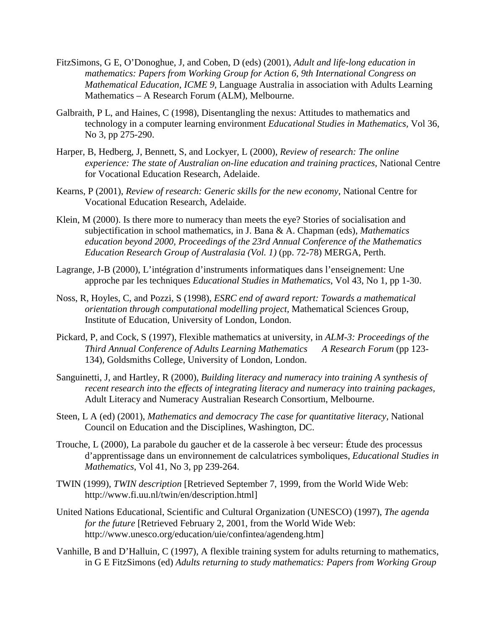- FitzSimons, G E, O'Donoghue, J, and Coben, D (eds) (2001), *Adult and life-long education in mathematics: Papers from Working Group for Action 6, 9th International Congress on Mathematical Education, ICME 9,* Language Australia in association with Adults Learning Mathematics – A Research Forum (ALM), Melbourne.
- Galbraith, P L, and Haines, C (1998), Disentangling the nexus: Attitudes to mathematics and technology in a computer learning environment *Educational Studies in Mathematics,* Vol 36, No 3, pp 275-290.
- Harper, B, Hedberg, J, Bennett, S, and Lockyer, L (2000), *Review of research: The online experience: The state of Australian on-line education and training practices,* National Centre for Vocational Education Research, Adelaide.
- Kearns, P (2001), *Review of research: Generic skills for the new economy,* National Centre for Vocational Education Research, Adelaide.
- Klein, M (2000). Is there more to numeracy than meets the eye? Stories of socialisation and subjectification in school mathematics, in J. Bana & A. Chapman (eds), *Mathematics education beyond 2000, Proceedings of the 23rd Annual Conference of the Mathematics Education Research Group of Australasia (Vol. 1)* (pp. 72-78) MERGA, Perth.
- Lagrange, J-B (2000), L'intégration d'instruments informatiques dans l'enseignement: Une approche par les techniques *Educational Studies in Mathematics*, Vol 43, No 1, pp 1-30.
- Noss, R, Hoyles, C, and Pozzi, S (1998), *ESRC end of award report: Towards a mathematical orientation through computational modelling project,* Mathematical Sciences Group, Institute of Education, University of London, London.
- Pickard, P, and Cock, S (1997), Flexible mathematics at university, in *ALM-3: Proceedings of the Third Annual Conference of Adults Learning Mathematics A Research Forum* (pp 123- 134), Goldsmiths College, University of London, London.
- Sanguinetti, J, and Hartley, R (2000), *Building literacy and numeracy into training A synthesis of recent research into the effects of integrating literacy and numeracy into training packages,* Adult Literacy and Numeracy Australian Research Consortium, Melbourne.
- Steen, L A (ed) (2001), *Mathematics and democracy The case for quantitative literacy,* National Council on Education and the Disciplines, Washington, DC.
- Trouche, L (2000), La parabole du gaucher et de la casserole à bec verseur: Étude des processus d'apprentissage dans un environnement de calculatrices symboliques, *Educational Studies in Mathematics*, Vol 41, No 3, pp 239-264.
- TWIN (1999), *TWIN description* [Retrieved September 7, 1999, from the World Wide Web: http://www.fi.uu.nl/twin/en/description.html]
- United Nations Educational, Scientific and Cultural Organization (UNESCO) (1997), *The agenda for the future* [Retrieved February 2, 2001, from the World Wide Web: http://www.unesco.org/education/uie/confintea/agendeng.htm]
- Vanhille, B and D'Halluin, C (1997), A flexible training system for adults returning to mathematics, in G E FitzSimons (ed) *Adults returning to study mathematics: Papers from Working Group*